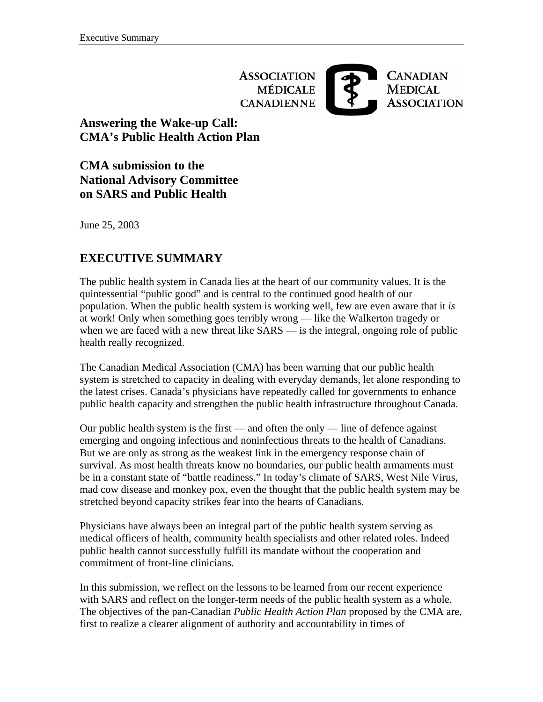**ASSOCIATION MÉDICALE CANADIENNE** 



# **Answering the Wake-up Call: CMA's Public Health Action Plan**

**CMA submission to the National Advisory Committee on SARS and Public Health** 

June 25, 2003

# **EXECUTIVE SUMMARY**

The public health system in Canada lies at the heart of our community values. It is the quintessential "public good" and is central to the continued good health of our population. When the public health system is working well, few are even aware that it *is* at work! Only when something goes terribly wrong — like the Walkerton tragedy or when we are faced with a new threat like SARS — is the integral, ongoing role of public health really recognized.

The Canadian Medical Association (CMA) has been warning that our public health system is stretched to capacity in dealing with everyday demands, let alone responding to the latest crises. Canada's physicians have repeatedly called for governments to enhance public health capacity and strengthen the public health infrastructure throughout Canada.

Our public health system is the first — and often the only — line of defence against emerging and ongoing infectious and noninfectious threats to the health of Canadians. But we are only as strong as the weakest link in the emergency response chain of survival. As most health threats know no boundaries, our public health armaments must be in a constant state of "battle readiness." In today's climate of SARS, West Nile Virus, mad cow disease and monkey pox, even the thought that the public health system may be stretched beyond capacity strikes fear into the hearts of Canadians.

Physicians have always been an integral part of the public health system serving as medical officers of health, community health specialists and other related roles. Indeed public health cannot successfully fulfill its mandate without the cooperation and commitment of front-line clinicians.

In this submission, we reflect on the lessons to be learned from our recent experience with SARS and reflect on the longer-term needs of the public health system as a whole. The objectives of the pan-Canadian *Public Health Action Plan* proposed by the CMA are, first to realize a clearer alignment of authority and accountability in times of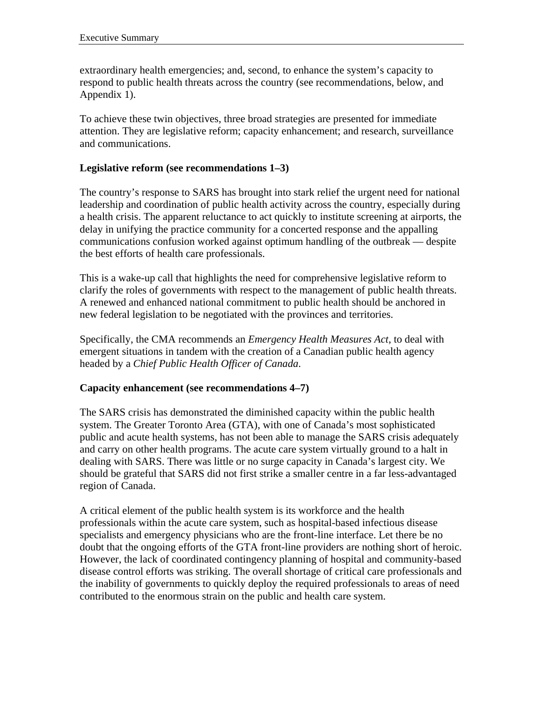extraordinary health emergencies; and, second, to enhance the system's capacity to respond to public health threats across the country (see recommendations, below, and Appendix 1).

To achieve these twin objectives, three broad strategies are presented for immediate attention. They are legislative reform; capacity enhancement; and research, surveillance and communications.

## **Legislative reform (see recommendations 1–3)**

The country's response to SARS has brought into stark relief the urgent need for national leadership and coordination of public health activity across the country, especially during a health crisis. The apparent reluctance to act quickly to institute screening at airports, the delay in unifying the practice community for a concerted response and the appalling communications confusion worked against optimum handling of the outbreak — despite the best efforts of health care professionals.

This is a wake-up call that highlights the need for comprehensive legislative reform to clarify the roles of governments with respect to the management of public health threats. A renewed and enhanced national commitment to public health should be anchored in new federal legislation to be negotiated with the provinces and territories.

Specifically, the CMA recommends an *Emergency Health Measures Act*, to deal with emergent situations in tandem with the creation of a Canadian public health agency headed by a *Chief Public Health Officer of Canada*.

### **Capacity enhancement (see recommendations 4–7)**

The SARS crisis has demonstrated the diminished capacity within the public health system. The Greater Toronto Area (GTA), with one of Canada's most sophisticated public and acute health systems, has not been able to manage the SARS crisis adequately and carry on other health programs. The acute care system virtually ground to a halt in dealing with SARS. There was little or no surge capacity in Canada's largest city. We should be grateful that SARS did not first strike a smaller centre in a far less-advantaged region of Canada.

A critical element of the public health system is its workforce and the health professionals within the acute care system, such as hospital-based infectious disease specialists and emergency physicians who are the front-line interface. Let there be no doubt that the ongoing efforts of the GTA front-line providers are nothing short of heroic. However, the lack of coordinated contingency planning of hospital and community-based disease control efforts was striking. The overall shortage of critical care professionals and the inability of governments to quickly deploy the required professionals to areas of need contributed to the enormous strain on the public and health care system.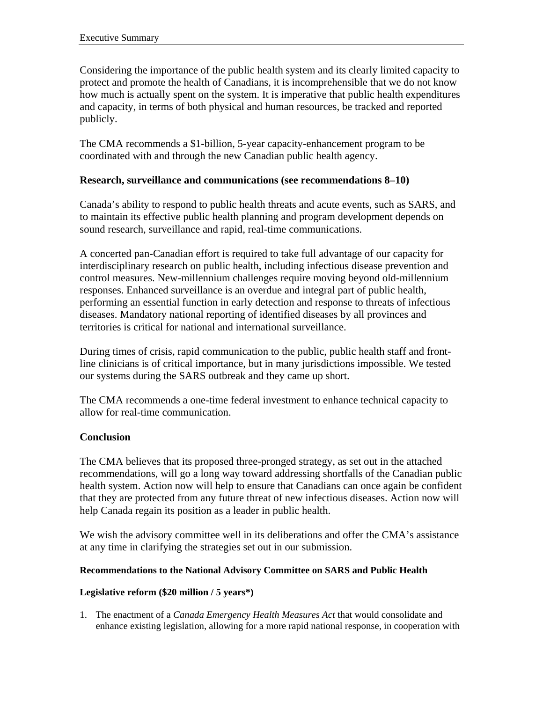Considering the importance of the public health system and its clearly limited capacity to protect and promote the health of Canadians, it is incomprehensible that we do not know how much is actually spent on the system. It is imperative that public health expenditures and capacity, in terms of both physical and human resources, be tracked and reported publicly.

The CMA recommends a \$1-billion, 5-year capacity-enhancement program to be coordinated with and through the new Canadian public health agency.

## **Research, surveillance and communications (see recommendations 8–10)**

Canada's ability to respond to public health threats and acute events, such as SARS, and to maintain its effective public health planning and program development depends on sound research, surveillance and rapid, real-time communications.

A concerted pan-Canadian effort is required to take full advantage of our capacity for interdisciplinary research on public health, including infectious disease prevention and control measures. New-millennium challenges require moving beyond old-millennium responses. Enhanced surveillance is an overdue and integral part of public health, performing an essential function in early detection and response to threats of infectious diseases. Mandatory national reporting of identified diseases by all provinces and territories is critical for national and international surveillance.

During times of crisis, rapid communication to the public, public health staff and frontline clinicians is of critical importance, but in many jurisdictions impossible. We tested our systems during the SARS outbreak and they came up short.

The CMA recommends a one-time federal investment to enhance technical capacity to allow for real-time communication.

## **Conclusion**

The CMA believes that its proposed three-pronged strategy, as set out in the attached recommendations, will go a long way toward addressing shortfalls of the Canadian public health system. Action now will help to ensure that Canadians can once again be confident that they are protected from any future threat of new infectious diseases. Action now will help Canada regain its position as a leader in public health.

We wish the advisory committee well in its deliberations and offer the CMA's assistance at any time in clarifying the strategies set out in our submission.

## **Recommendations to the National Advisory Committee on SARS and Public Health**

## **Legislative reform (\$20 million / 5 years\*)**

1. The enactment of a *Canada Emergency Health Measures Act* that would consolidate and enhance existing legislation, allowing for a more rapid national response, in cooperation with